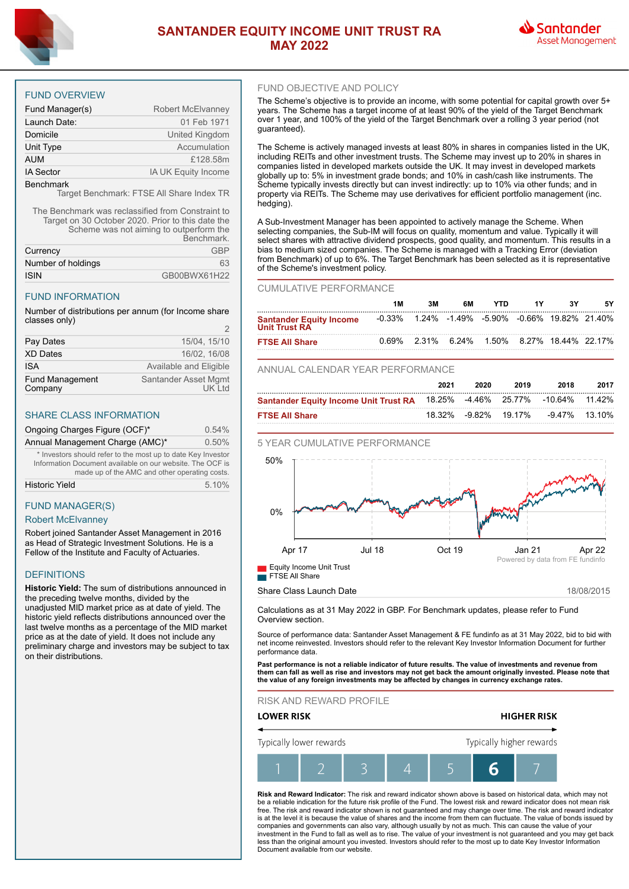

# **SANTANDER EQUITY INCOME UNIT TRUST RA MAY 2022**



## FUND OVERVIEW

| Fund Manager(s)  | Robert McElvanney   |
|------------------|---------------------|
| Launch Date:     | 01 Feb 1971         |
| Domicile         | United Kingdom      |
| Unit Type        | Accumulation        |
| <b>AUM</b>       | £128.58m            |
| <b>IA Sector</b> | IA UK Equity Income |
| <b>Benchmark</b> |                     |

Target Benchmark: FTSE All Share Index TR

The Benchmark was reclassified from Constraint to Target on 30 October 2020. Prior to this date the Scheme was not aiming to outperform the

|                    | Benchmark.   |
|--------------------|--------------|
| Currency           | GRP          |
| Number of holdings | 63           |
| <b>ISIN</b>        | GB00BWX61H22 |

### FUND INFORMATION

Number of distributions per annum (for Income share classes only)

| Pay Dates                         | 15/04. 15/10                    |
|-----------------------------------|---------------------------------|
| <b>XD Dates</b>                   | 16/02. 16/08                    |
| <b>ISA</b>                        | Available and Eligible          |
| <b>Fund Management</b><br>Company | Santander Asset Mgmt<br>UK I td |

## SHARE CLASS INFORMATION

| Ongoing Charges Figure (OCF)*   | 0.54% |
|---------------------------------|-------|
| Annual Management Charge (AMC)* | 0.50% |

\* Investors should refer to the most up to date Key Investor Information Document available on our website. The OCF is made up of the AMC and other operating costs. Historic Yield 5.10%

# FUND MANAGER(S)

## Robert McElvanney

Robert joined Santander Asset Management in 2016 as Head of Strategic Investment Solutions. He is a Fellow of the Institute and Faculty of Actuaries.

# **DEFINITIONS**

**Historic Yield:** The sum of distributions announced in the preceding twelve months, divided by the unadjusted MID market price as at date of yield. The historic yield reflects distributions announced over the last twelve months as a percentage of the MID market price as at the date of yield. It does not include any preliminary charge and investors may be subject to tax on their distributions.

## FUND OBJECTIVE AND POLICY

The Scheme's objective is to provide an income, with some potential for capital growth over 5+ years. The Scheme has a target income of at least 90% of the yield of the Target Benchmark over 1 year, and 100% of the yield of the Target Benchmark over a rolling 3 year period (not guaranteed).

The Scheme is actively managed invests at least 80% in shares in companies listed in the UK, including REITs and other investment trusts. The Scheme may invest up to 20% in shares in companies listed in developed markets outside the UK. It may invest in developed markets globally up to: 5% in investment grade bonds; and 10% in cash/cash like instruments. The Scheme typically invests directly but can invest indirectly: up to 10% via other funds; and in property via REITs. The Scheme may use derivatives for efficient portfolio management (inc. hedging).

A Sub-Investment Manager has been appointed to actively manage the Scheme. When selecting companies, the Sub-IM will focus on quality, momentum and value. Typically it will select shares with attractive dividend prospects, good quality, and momentum. This results in a bias to medium sized companies. The Scheme is managed with a Tracking Error (deviation from Benchmark) of up to 6%. The Target Benchmark has been selected as it is representative of the Scheme's investment policy.

#### CUMULATIVE PERFORMANCE

|                                                 | 1M    | 3Μ    | 6М                                                          | YTN | ٩V |  |
|-------------------------------------------------|-------|-------|-------------------------------------------------------------|-----|----|--|
| <b>Santander Equity Income</b><br>Unit Trust RA |       |       | $-0.33\%$ 1.24% $-1.49\%$ $-5.90\%$ $-0.66\%$ 19.82% 21.40% |     |    |  |
| <b>FTSE All Share</b>                           | በ 69% | 2.31% | 6.24% 1.50% 8.27% 18.44% 22.17%                             |     |    |  |

### ANNUAL CALENDAR YEAR PERFORMANCE

|                                                                           | 2021 | 2020 | 2019 | 2018                               | 2017 |
|---------------------------------------------------------------------------|------|------|------|------------------------------------|------|
| Santander Equity Income Unit Trust RA 18.25% -4.46% 25.77% -10.64% 11.42% |      |      |      |                                    |      |
| <b>FTSE All Share</b>                                                     |      |      |      | 18.32% -9.82% 19.17% -9.47% 13.10% |      |





Share Class Launch Date 18/08/2015

Calculations as at 31 May 2022 in GBP. For Benchmark updates, please refer to Fund Overview section.

Source of performance data: Santander Asset Management & FE fundinfo as at 31 May 2022, bid to bid with net income reinvested. Investors should refer to the relevant Key Investor Information Document for further performance data.

**Past performance is not a reliable indicator of future results. The value of investments and revenue from them can fall as well as rise and investors may not get back the amount originally invested. Please note that the value of any foreign investments may be affected by changes in currency exchange rates.**

RISK AND REWARD PROFILE



**Risk and Reward Indicator:** The risk and reward indicator shown above is based on historical data, which may not be a reliable indication for the future risk profile of the Fund. The lowest risk and reward indicator does not mean risk free. The risk and reward indicator shown is not guaranteed and may change over time. The risk and reward indicator<br>is at the level it is because the value of shares and the income from them can fluctuate. The value of bon companies and governments can also vary, although usually by not as much. This can cause the value of your investment in the Fund to fall as well as to rise. The value of your investment is not guaranteed and you may get back less than the original amount you invested. Investors should refer to the most up to date Key Investor Information Document available from our website.